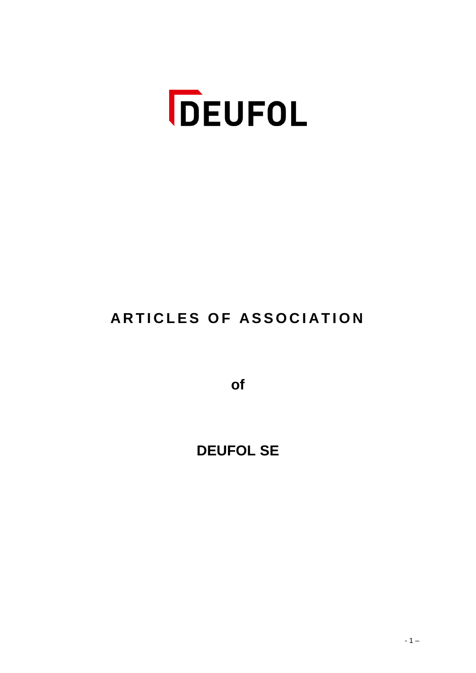

# **ARTICLES OF ASSOCIATION**

**of** 

**DEUFOL SE**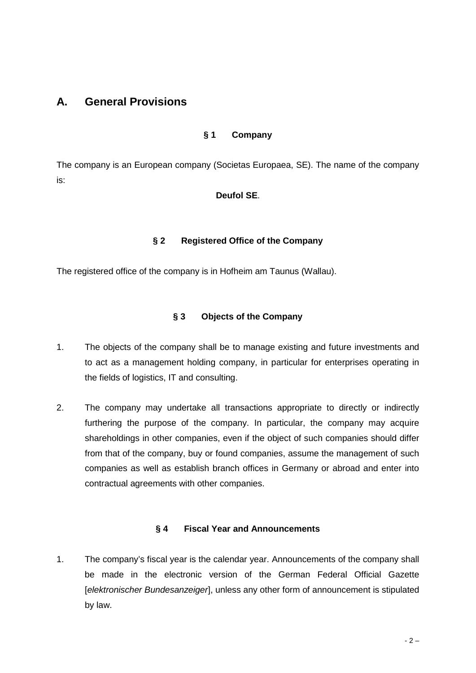# **A. General Provisions**

#### **§ 1 Company**

The company is an European company (Societas Europaea, SE). The name of the company is:

#### **Deufol SE**.

#### **§ 2 Registered Office of the Company**

The registered office of the company is in Hofheim am Taunus (Wallau).

#### **§ 3 Objects of the Company**

- 1. The objects of the company shall be to manage existing and future investments and to act as a management holding company, in particular for enterprises operating in the fields of logistics, IT and consulting.
- 2. The company may undertake all transactions appropriate to directly or indirectly furthering the purpose of the company. In particular, the company may acquire shareholdings in other companies, even if the object of such companies should differ from that of the company, buy or found companies, assume the management of such companies as well as establish branch offices in Germany or abroad and enter into contractual agreements with other companies.

#### **§ 4 Fiscal Year and Announcements**

1. The company's fiscal year is the calendar year. Announcements of the company shall be made in the electronic version of the German Federal Official Gazette [*elektronischer Bundesanzeiger*], unless any other form of announcement is stipulated by law.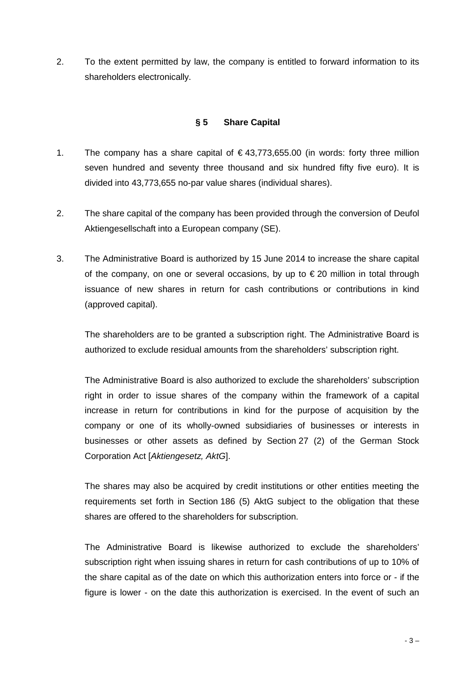2. To the extent permitted by law, the company is entitled to forward information to its shareholders electronically.

#### **§ 5 Share Capital**

- 1. The company has a share capital of  $\epsilon$ 43,773,655.00 (in words: forty three million seven hundred and seventy three thousand and six hundred fifty five euro). It is divided into 43,773,655 no-par value shares (individual shares).
- 2. The share capital of the company has been provided through the conversion of Deufol Aktiengesellschaft into a European company (SE).
- 3. The Administrative Board is authorized by 15 June 2014 to increase the share capital of the company, on one or several occasions, by up to  $\epsilon$  20 million in total through issuance of new shares in return for cash contributions or contributions in kind (approved capital).

The shareholders are to be granted a subscription right. The Administrative Board is authorized to exclude residual amounts from the shareholders' subscription right.

The Administrative Board is also authorized to exclude the shareholders' subscription right in order to issue shares of the company within the framework of a capital increase in return for contributions in kind for the purpose of acquisition by the company or one of its wholly-owned subsidiaries of businesses or interests in businesses or other assets as defined by Section 27 (2) of the German Stock Corporation Act [*Aktiengesetz, AktG*].

The shares may also be acquired by credit institutions or other entities meeting the requirements set forth in Section 186 (5) AktG subject to the obligation that these shares are offered to the shareholders for subscription.

The Administrative Board is likewise authorized to exclude the shareholders' subscription right when issuing shares in return for cash contributions of up to 10% of the share capital as of the date on which this authorization enters into force or - if the figure is lower - on the date this authorization is exercised. In the event of such an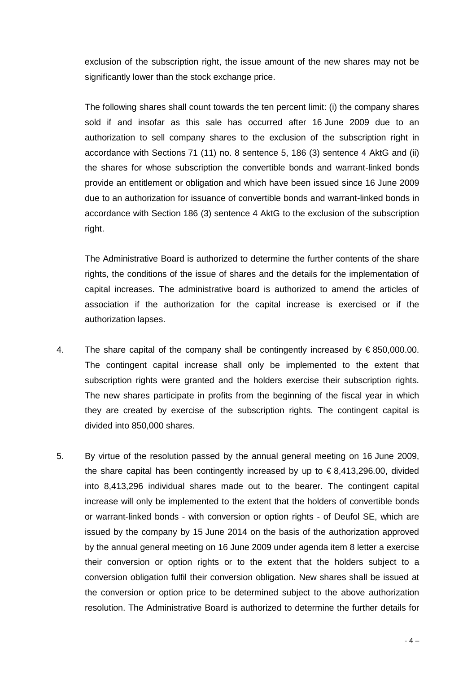exclusion of the subscription right, the issue amount of the new shares may not be significantly lower than the stock exchange price.

The following shares shall count towards the ten percent limit: (i) the company shares sold if and insofar as this sale has occurred after 16 June 2009 due to an authorization to sell company shares to the exclusion of the subscription right in accordance with Sections 71 (11) no. 8 sentence 5, 186 (3) sentence 4 AktG and (ii) the shares for whose subscription the convertible bonds and warrant-linked bonds provide an entitlement or obligation and which have been issued since 16 June 2009 due to an authorization for issuance of convertible bonds and warrant-linked bonds in accordance with Section 186 (3) sentence 4 AktG to the exclusion of the subscription right.

The Administrative Board is authorized to determine the further contents of the share rights, the conditions of the issue of shares and the details for the implementation of capital increases. The administrative board is authorized to amend the articles of association if the authorization for the capital increase is exercised or if the authorization lapses.

- 4. The share capital of the company shall be contingently increased by  $\epsilon$ 850,000.00. The contingent capital increase shall only be implemented to the extent that subscription rights were granted and the holders exercise their subscription rights. The new shares participate in profits from the beginning of the fiscal year in which they are created by exercise of the subscription rights. The contingent capital is divided into 850,000 shares.
- 5. By virtue of the resolution passed by the annual general meeting on 16 June 2009, the share capital has been contingently increased by up to  $\epsilon$ 8.413.296.00, divided into 8,413,296 individual shares made out to the bearer. The contingent capital increase will only be implemented to the extent that the holders of convertible bonds or warrant-linked bonds - with conversion or option rights - of Deufol SE, which are issued by the company by 15 June 2014 on the basis of the authorization approved by the annual general meeting on 16 June 2009 under agenda item 8 letter a exercise their conversion or option rights or to the extent that the holders subject to a conversion obligation fulfil their conversion obligation. New shares shall be issued at the conversion or option price to be determined subject to the above authorization resolution. The Administrative Board is authorized to determine the further details for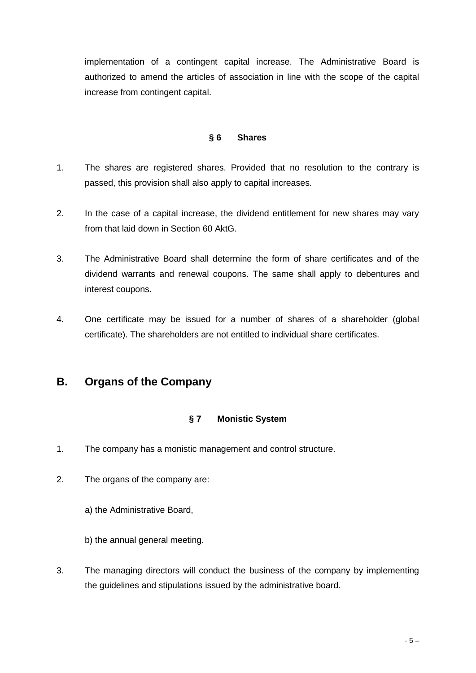implementation of a contingent capital increase. The Administrative Board is authorized to amend the articles of association in line with the scope of the capital increase from contingent capital.

#### **§ 6 Shares**

- 1. The shares are registered shares. Provided that no resolution to the contrary is passed, this provision shall also apply to capital increases.
- 2. In the case of a capital increase, the dividend entitlement for new shares may vary from that laid down in Section 60 AktG.
- 3. The Administrative Board shall determine the form of share certificates and of the dividend warrants and renewal coupons. The same shall apply to debentures and interest coupons.
- 4. One certificate may be issued for a number of shares of a shareholder (global certificate). The shareholders are not entitled to individual share certificates.

# **B. Organs of the Company**

# **§ 7 Monistic System**

- 1. The company has a monistic management and control structure.
- 2. The organs of the company are:

a) the Administrative Board,

b) the annual general meeting.

3. The managing directors will conduct the business of the company by implementing the guidelines and stipulations issued by the administrative board.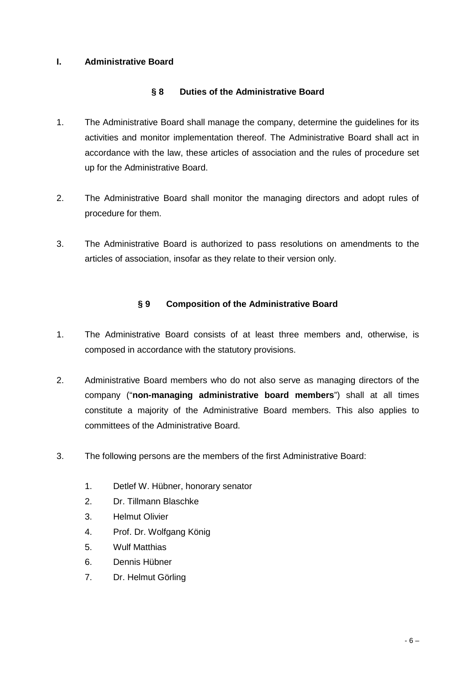# **I. Administrative Board**

# **§ 8 Duties of the Administrative Board**

- 1. The Administrative Board shall manage the company, determine the guidelines for its activities and monitor implementation thereof. The Administrative Board shall act in accordance with the law, these articles of association and the rules of procedure set up for the Administrative Board.
- 2. The Administrative Board shall monitor the managing directors and adopt rules of procedure for them.
- 3. The Administrative Board is authorized to pass resolutions on amendments to the articles of association, insofar as they relate to their version only.

# **§ 9 Composition of the Administrative Board**

- 1. The Administrative Board consists of at least three members and, otherwise, is composed in accordance with the statutory provisions.
- 2. Administrative Board members who do not also serve as managing directors of the company ("**non-managing administrative board members**") shall at all times constitute a majority of the Administrative Board members. This also applies to committees of the Administrative Board.
- 3. The following persons are the members of the first Administrative Board:
	- 1. Detlef W. Hübner, honorary senator
	- 2. Dr. Tillmann Blaschke
	- 3. Helmut Olivier
	- 4. Prof. Dr. Wolfgang König
	- 5. Wulf Matthias
	- 6. Dennis Hübner
	- 7. Dr. Helmut Görling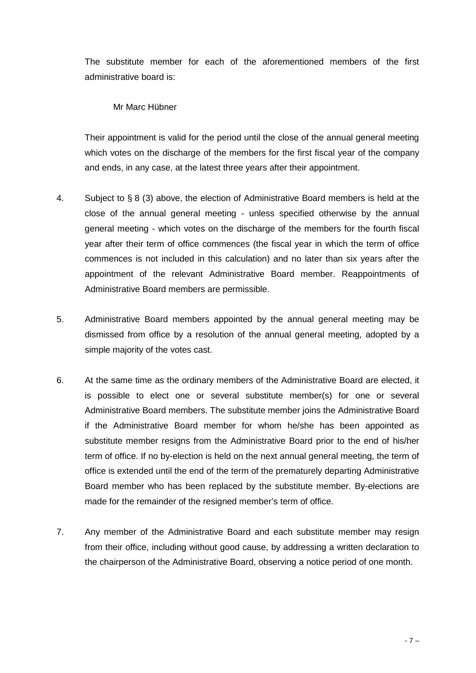The substitute member for each of the aforementioned members of the first administrative board is:

Mr Marc Hübner

Their appointment is valid for the period until the close of the annual general meeting which votes on the discharge of the members for the first fiscal year of the company and ends, in any case, at the latest three years after their appointment.

- 4. Subject to § 8 (3) above, the election of Administrative Board members is held at the close of the annual general meeting - unless specified otherwise by the annual general meeting - which votes on the discharge of the members for the fourth fiscal year after their term of office commences (the fiscal year in which the term of office commences is not included in this calculation) and no later than six years after the appointment of the relevant Administrative Board member. Reappointments of Administrative Board members are permissible.
- 5. Administrative Board members appointed by the annual general meeting may be dismissed from office by a resolution of the annual general meeting, adopted by a simple majority of the votes cast.
- 6. At the same time as the ordinary members of the Administrative Board are elected, it is possible to elect one or several substitute member(s) for one or several Administrative Board members. The substitute member joins the Administrative Board if the Administrative Board member for whom he/she has been appointed as substitute member resigns from the Administrative Board prior to the end of his/her term of office. If no by-election is held on the next annual general meeting, the term of office is extended until the end of the term of the prematurely departing Administrative Board member who has been replaced by the substitute member. By-elections are made for the remainder of the resigned member's term of office.
- 7. Any member of the Administrative Board and each substitute member may resign from their office, including without good cause, by addressing a written declaration to the chairperson of the Administrative Board, observing a notice period of one month.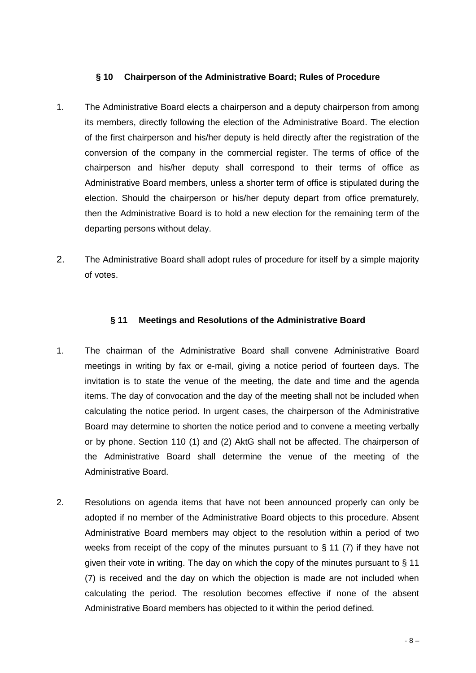#### **§ 10 Chairperson of the Administrative Board; Rules of Procedure**

- 1. The Administrative Board elects a chairperson and a deputy chairperson from among its members, directly following the election of the Administrative Board. The election of the first chairperson and his/her deputy is held directly after the registration of the conversion of the company in the commercial register. The terms of office of the chairperson and his/her deputy shall correspond to their terms of office as Administrative Board members, unless a shorter term of office is stipulated during the election. Should the chairperson or his/her deputy depart from office prematurely, then the Administrative Board is to hold a new election for the remaining term of the departing persons without delay.
- 2. The Administrative Board shall adopt rules of procedure for itself by a simple majority of votes.

#### **§ 11 Meetings and Resolutions of the Administrative Board**

- 1. The chairman of the Administrative Board shall convene Administrative Board meetings in writing by fax or e-mail, giving a notice period of fourteen days. The invitation is to state the venue of the meeting, the date and time and the agenda items. The day of convocation and the day of the meeting shall not be included when calculating the notice period. In urgent cases, the chairperson of the Administrative Board may determine to shorten the notice period and to convene a meeting verbally or by phone. Section 110 (1) and (2) AktG shall not be affected. The chairperson of the Administrative Board shall determine the venue of the meeting of the Administrative Board.
- 2. Resolutions on agenda items that have not been announced properly can only be adopted if no member of the Administrative Board objects to this procedure. Absent Administrative Board members may object to the resolution within a period of two weeks from receipt of the copy of the minutes pursuant to  $\S$  11 (7) if they have not given their vote in writing. The day on which the copy of the minutes pursuant to § 11 (7) is received and the day on which the objection is made are not included when calculating the period. The resolution becomes effective if none of the absent Administrative Board members has objected to it within the period defined.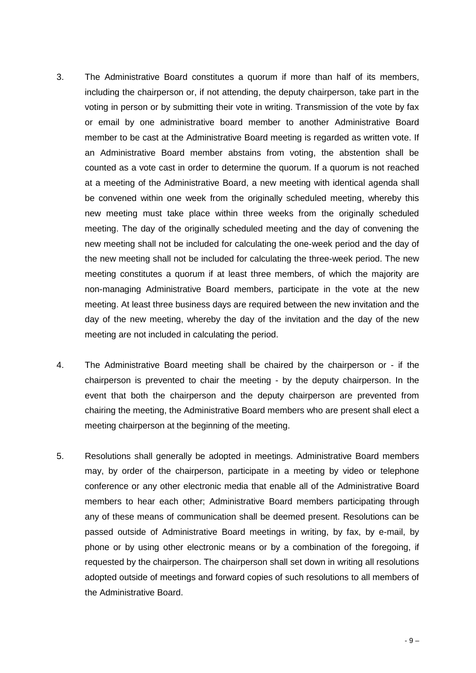- 3. The Administrative Board constitutes a quorum if more than half of its members, including the chairperson or, if not attending, the deputy chairperson, take part in the voting in person or by submitting their vote in writing. Transmission of the vote by fax or email by one administrative board member to another Administrative Board member to be cast at the Administrative Board meeting is regarded as written vote. If an Administrative Board member abstains from voting, the abstention shall be counted as a vote cast in order to determine the quorum. If a quorum is not reached at a meeting of the Administrative Board, a new meeting with identical agenda shall be convened within one week from the originally scheduled meeting, whereby this new meeting must take place within three weeks from the originally scheduled meeting. The day of the originally scheduled meeting and the day of convening the new meeting shall not be included for calculating the one-week period and the day of the new meeting shall not be included for calculating the three-week period. The new meeting constitutes a quorum if at least three members, of which the majority are non-managing Administrative Board members, participate in the vote at the new meeting. At least three business days are required between the new invitation and the day of the new meeting, whereby the day of the invitation and the day of the new meeting are not included in calculating the period.
- 4. The Administrative Board meeting shall be chaired by the chairperson or if the chairperson is prevented to chair the meeting - by the deputy chairperson. In the event that both the chairperson and the deputy chairperson are prevented from chairing the meeting, the Administrative Board members who are present shall elect a meeting chairperson at the beginning of the meeting.
- 5. Resolutions shall generally be adopted in meetings. Administrative Board members may, by order of the chairperson, participate in a meeting by video or telephone conference or any other electronic media that enable all of the Administrative Board members to hear each other; Administrative Board members participating through any of these means of communication shall be deemed present. Resolutions can be passed outside of Administrative Board meetings in writing, by fax, by e-mail, by phone or by using other electronic means or by a combination of the foregoing, if requested by the chairperson. The chairperson shall set down in writing all resolutions adopted outside of meetings and forward copies of such resolutions to all members of the Administrative Board.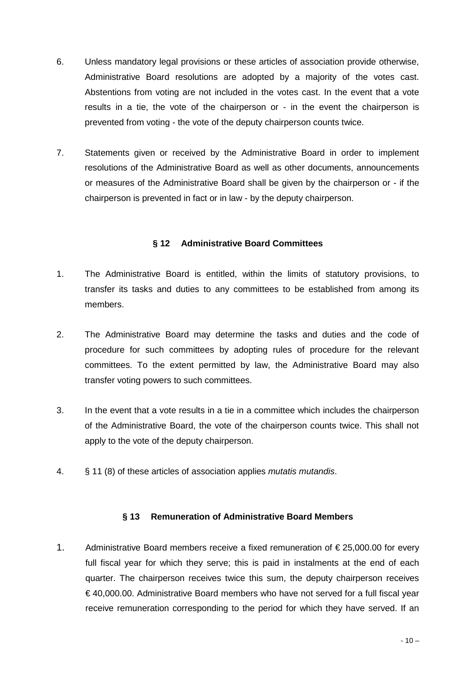- 6. Unless mandatory legal provisions or these articles of association provide otherwise, Administrative Board resolutions are adopted by a majority of the votes cast. Abstentions from voting are not included in the votes cast. In the event that a vote results in a tie, the vote of the chairperson or - in the event the chairperson is prevented from voting - the vote of the deputy chairperson counts twice.
- 7. Statements given or received by the Administrative Board in order to implement resolutions of the Administrative Board as well as other documents, announcements or measures of the Administrative Board shall be given by the chairperson or - if the chairperson is prevented in fact or in law - by the deputy chairperson.

#### **§ 12 Administrative Board Committees**

- 1. The Administrative Board is entitled, within the limits of statutory provisions, to transfer its tasks and duties to any committees to be established from among its members.
- 2. The Administrative Board may determine the tasks and duties and the code of procedure for such committees by adopting rules of procedure for the relevant committees. To the extent permitted by law, the Administrative Board may also transfer voting powers to such committees.
- 3. In the event that a vote results in a tie in a committee which includes the chairperson of the Administrative Board, the vote of the chairperson counts twice. This shall not apply to the vote of the deputy chairperson.
- 4. § 11 (8) of these articles of association applies *mutatis mutandis*.

#### **§ 13 Remuneration of Administrative Board Members**

1. Administrative Board members receive a fixed remuneration of € 25,000.00 for every full fiscal year for which they serve; this is paid in instalments at the end of each quarter. The chairperson receives twice this sum, the deputy chairperson receives € 40,000.00. Administrative Board members who have not served for a full fiscal year receive remuneration corresponding to the period for which they have served. If an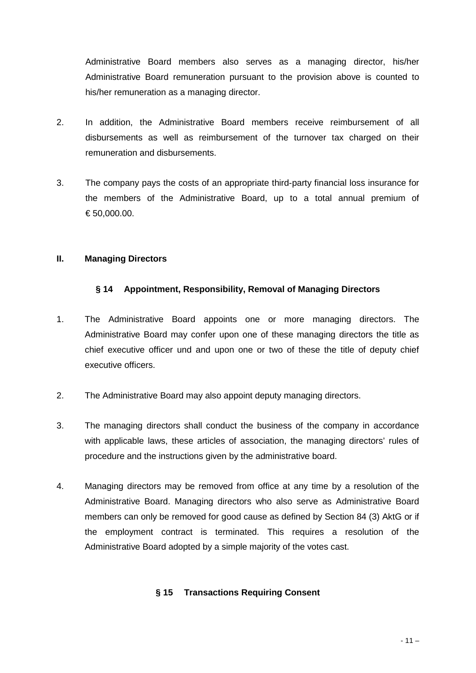Administrative Board members also serves as a managing director, his/her Administrative Board remuneration pursuant to the provision above is counted to his/her remuneration as a managing director.

- 2. In addition, the Administrative Board members receive reimbursement of all disbursements as well as reimbursement of the turnover tax charged on their remuneration and disbursements.
- 3. The company pays the costs of an appropriate third-party financial loss insurance for the members of the Administrative Board, up to a total annual premium of € 50,000.00.

#### **II. Managing Directors**

# **§ 14 Appointment, Responsibility, Removal of Managing Directors**

- 1. The Administrative Board appoints one or more managing directors. The Administrative Board may confer upon one of these managing directors the title as chief executive officer und and upon one or two of these the title of deputy chief executive officers.
- 2. The Administrative Board may also appoint deputy managing directors.
- 3. The managing directors shall conduct the business of the company in accordance with applicable laws, these articles of association, the managing directors' rules of procedure and the instructions given by the administrative board.
- 4. Managing directors may be removed from office at any time by a resolution of the Administrative Board. Managing directors who also serve as Administrative Board members can only be removed for good cause as defined by Section 84 (3) AktG or if the employment contract is terminated. This requires a resolution of the Administrative Board adopted by a simple majority of the votes cast.

# **§ 15 Transactions Requiring Consent**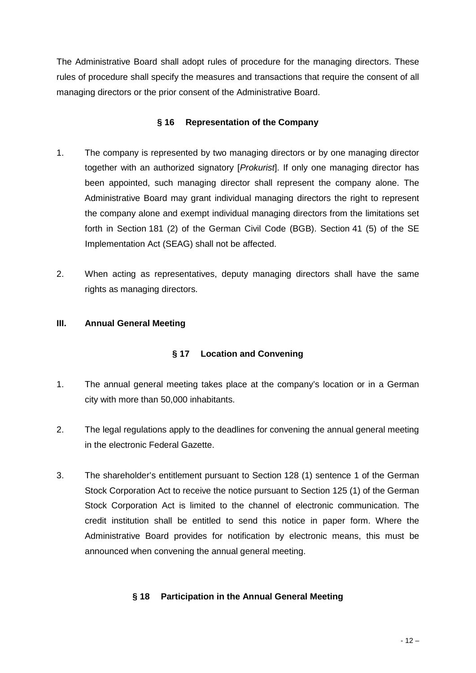The Administrative Board shall adopt rules of procedure for the managing directors. These rules of procedure shall specify the measures and transactions that require the consent of all managing directors or the prior consent of the Administrative Board.

# **§ 16 Representation of the Company**

- 1. The company is represented by two managing directors or by one managing director together with an authorized signatory [*Prokurist*]. If only one managing director has been appointed, such managing director shall represent the company alone. The Administrative Board may grant individual managing directors the right to represent the company alone and exempt individual managing directors from the limitations set forth in Section 181 (2) of the German Civil Code (BGB). Section 41 (5) of the SE Implementation Act (SEAG) shall not be affected.
- 2. When acting as representatives, deputy managing directors shall have the same rights as managing directors.

# **III. Annual General Meeting**

# **§ 17 Location and Convening**

- 1. The annual general meeting takes place at the company's location or in a German city with more than 50,000 inhabitants.
- 2. The legal regulations apply to the deadlines for convening the annual general meeting in the electronic Federal Gazette.
- 3. The shareholder's entitlement pursuant to Section 128 (1) sentence 1 of the German Stock Corporation Act to receive the notice pursuant to Section 125 (1) of the German Stock Corporation Act is limited to the channel of electronic communication. The credit institution shall be entitled to send this notice in paper form. Where the Administrative Board provides for notification by electronic means, this must be announced when convening the annual general meeting.

# **§ 18 Participation in the Annual General Meeting**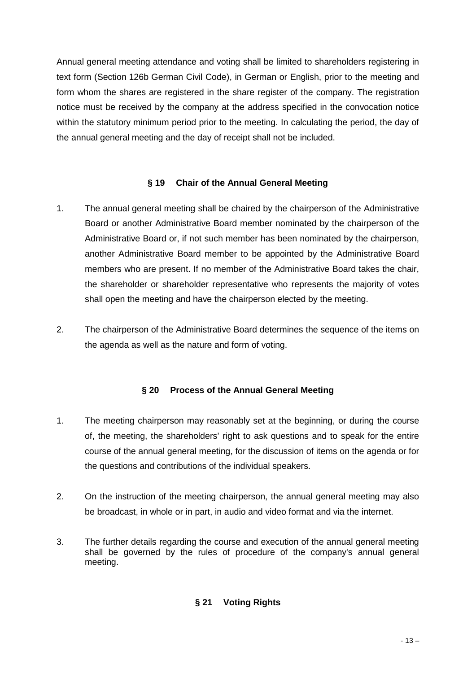Annual general meeting attendance and voting shall be limited to shareholders registering in text form (Section 126b German Civil Code), in German or English, prior to the meeting and form whom the shares are registered in the share register of the company. The registration notice must be received by the company at the address specified in the convocation notice within the statutory minimum period prior to the meeting. In calculating the period, the day of the annual general meeting and the day of receipt shall not be included.

#### **§ 19 Chair of the Annual General Meeting**

- 1. The annual general meeting shall be chaired by the chairperson of the Administrative Board or another Administrative Board member nominated by the chairperson of the Administrative Board or, if not such member has been nominated by the chairperson, another Administrative Board member to be appointed by the Administrative Board members who are present. If no member of the Administrative Board takes the chair, the shareholder or shareholder representative who represents the majority of votes shall open the meeting and have the chairperson elected by the meeting.
- 2. The chairperson of the Administrative Board determines the sequence of the items on the agenda as well as the nature and form of voting.

# **§ 20 Process of the Annual General Meeting**

- 1. The meeting chairperson may reasonably set at the beginning, or during the course of, the meeting, the shareholders' right to ask questions and to speak for the entire course of the annual general meeting, for the discussion of items on the agenda or for the questions and contributions of the individual speakers.
- 2. On the instruction of the meeting chairperson, the annual general meeting may also be broadcast, in whole or in part, in audio and video format and via the internet.
- 3. The further details regarding the course and execution of the annual general meeting shall be governed by the rules of procedure of the company's annual general meeting.

# **§ 21 Voting Rights**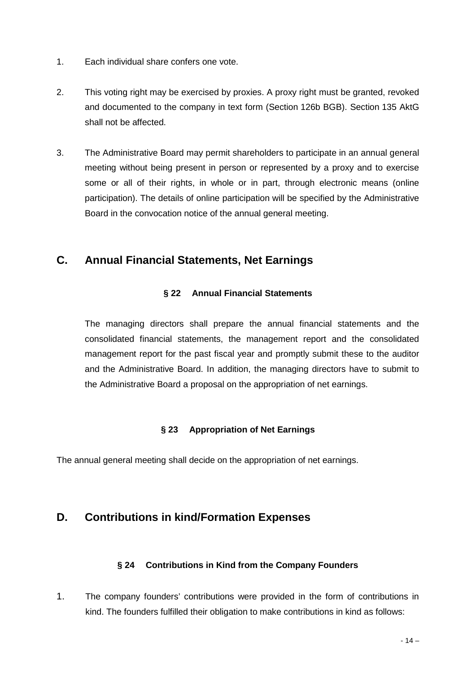- 1. Each individual share confers one vote.
- 2. This voting right may be exercised by proxies. A proxy right must be granted, revoked and documented to the company in text form (Section 126b BGB). Section 135 AktG shall not be affected.
- 3. The Administrative Board may permit shareholders to participate in an annual general meeting without being present in person or represented by a proxy and to exercise some or all of their rights, in whole or in part, through electronic means (online participation). The details of online participation will be specified by the Administrative Board in the convocation notice of the annual general meeting.

# **C. Annual Financial Statements, Net Earnings**

# **§ 22 Annual Financial Statements**

The managing directors shall prepare the annual financial statements and the consolidated financial statements, the management report and the consolidated management report for the past fiscal year and promptly submit these to the auditor and the Administrative Board. In addition, the managing directors have to submit to the Administrative Board a proposal on the appropriation of net earnings.

# **§ 23 Appropriation of Net Earnings**

The annual general meeting shall decide on the appropriation of net earnings.

# **D. Contributions in kind/Formation Expenses**

# **§ 24 Contributions in Kind from the Company Founders**

1. The company founders' contributions were provided in the form of contributions in kind. The founders fulfilled their obligation to make contributions in kind as follows: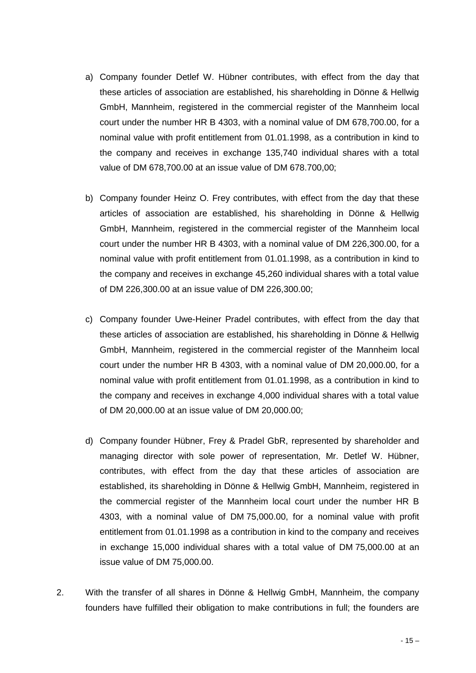- a) Company founder Detlef W. Hübner contributes, with effect from the day that these articles of association are established, his shareholding in Dönne & Hellwig GmbH, Mannheim, registered in the commercial register of the Mannheim local court under the number HR B 4303, with a nominal value of DM 678,700.00, for a nominal value with profit entitlement from 01.01.1998, as a contribution in kind to the company and receives in exchange 135,740 individual shares with a total value of DM 678,700.00 at an issue value of DM 678.700,00;
- b) Company founder Heinz O. Frey contributes, with effect from the day that these articles of association are established, his shareholding in Dönne & Hellwig GmbH, Mannheim, registered in the commercial register of the Mannheim local court under the number HR B 4303, with a nominal value of DM 226,300.00, for a nominal value with profit entitlement from 01.01.1998, as a contribution in kind to the company and receives in exchange 45,260 individual shares with a total value of DM 226,300.00 at an issue value of DM 226,300.00;
- c) Company founder Uwe-Heiner Pradel contributes, with effect from the day that these articles of association are established, his shareholding in Dönne & Hellwig GmbH, Mannheim, registered in the commercial register of the Mannheim local court under the number HR B 4303, with a nominal value of DM 20,000.00, for a nominal value with profit entitlement from 01.01.1998, as a contribution in kind to the company and receives in exchange 4,000 individual shares with a total value of DM 20,000.00 at an issue value of DM 20,000.00;
- d) Company founder Hübner, Frey & Pradel GbR, represented by shareholder and managing director with sole power of representation, Mr. Detlef W. Hübner, contributes, with effect from the day that these articles of association are established, its shareholding in Dönne & Hellwig GmbH, Mannheim, registered in the commercial register of the Mannheim local court under the number HR B 4303, with a nominal value of DM 75,000.00, for a nominal value with profit entitlement from 01.01.1998 as a contribution in kind to the company and receives in exchange 15,000 individual shares with a total value of DM 75,000.00 at an issue value of DM 75,000.00.
- 2. With the transfer of all shares in Dönne & Hellwig GmbH, Mannheim, the company founders have fulfilled their obligation to make contributions in full; the founders are